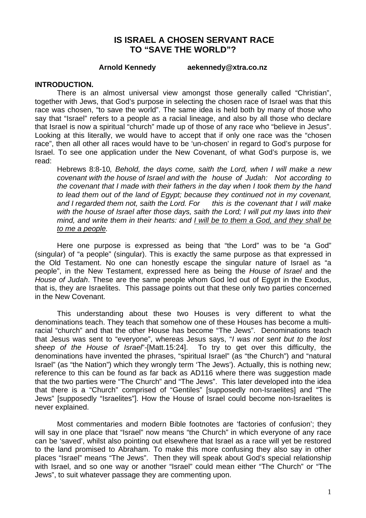# **IS ISRAEL A CHOSEN SERVANT RACE TO "SAVE THE WORLD"?**

**Arnold Kennedy aekennedy@xtra.co.nz** 

#### **INTRODUCTION.**

 There is an almost universal view amongst those generally called "Christian", together with Jews, that God's purpose in selecting the chosen race of Israel was that this race was chosen, "to save the world". The same idea is held both by many of those who say that "Israel" refers to a people as a racial lineage, and also by all those who declare that Israel is now a spiritual "church" made up of those of any race who "believe in Jesus". Looking at this literally, we would have to accept that if only one race was the "chosen race", then all other all races would have to be 'un-chosen' in regard to God's purpose for Israel. To see one application under the New Covenant, of what God's purpose is, we read:

Hebrews 8:8-10*, Behold, the days come, saith the Lord, when I will make a new covenant with the house of Israel and with the house of Judah: Not according to the covenant that I made with their fathers in the day when I took them by the hand to lead them out of the land of Egypt; because they continued not in my covenant, and I regarded them not, saith the Lord. For this is the covenant that I will make with the house of Israel after those days, saith the Lord; I will put my laws into their mind, and write them in their hearts: and I will be to them a God, and they shall be to me a people.* 

Here one purpose is expressed as being that "the Lord" was to be "a God" (singular) of "a people" (singular). This is exactly the same purpose as that expressed in the Old Testament. No one can honestly escape the singular nature of Israel as "a people", in the New Testament, expressed here as being the *House of Israel* and the *House of Judah*. These are the same people whom God led out of Egypt in the Exodus, that is, they are Israelites. This passage points out that these only two parties concerned in the New Covenant.

This understanding about these two Houses is very different to what the denominations teach. They teach that somehow one of these Houses has become a multiracial "church" and that the other House has become "The Jews". Denominations teach that Jesus was sent to "everyone", whereas Jesus says, "*I was not sent but to the lost sheep of the House of Israel*"*-*[Matt.15:24]. To try to get over this difficulty, the denominations have invented the phrases, "spiritual Israel" (as "the Church") and "natural Israel" (as "the Nation") which they wrongly term 'The Jews'). Actually, this is nothing new; reference to this can be found as far back as AD116 where there was suggestion made that the two parties were "The Church" and "The Jews". This later developed into the idea that there is a "Church" comprised of "Gentiles" [supposedly non-Israelites] and "The Jews" [supposedly "Israelites"]. How the House of Israel could become non-Israelites is never explained.

Most commentaries and modern Bible footnotes are 'factories of confusion'; they will say in one place that "Israel" now means "the Church" in which everyone of any race can be 'saved', whilst also pointing out elsewhere that Israel as a race will yet be restored to the land promised to Abraham. To make this more confusing they also say in other places "Israel" means "The Jews". Then they will speak about God's special relationship with Israel, and so one way or another "Israel" could mean either "The Church" or "The Jews", to suit whatever passage they are commenting upon.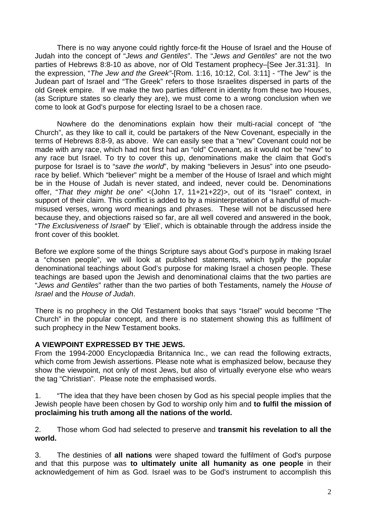There is no way anyone could rightly force-fit the House of Israel and the House of Judah into the concept of "*Jews and Gentiles*". The "*Jews and Gentiles*" are not the two parties of Hebrews 8:8-10 as above, nor of Old Testament prophecy–[See Jer.31:31]. In the expression, "*The Jew and the Greek"*-[Rom. 1:16, 10:12, Col. 3:11] - "The Jew" is the Judean part of Israel and "The Greek" refers to those Israelites dispersed in parts of the old Greek empire. If we make the two parties different in identity from these two Houses, (as Scripture states so clearly they are), we must come to a wrong conclusion when we come to look at God's purpose for electing Israel to be a chosen race.

Nowhere do the denominations explain how their multi-racial concept of "the Church", as they like to call it, could be partakers of the New Covenant, especially in the terms of Hebrews 8:8-9, as above. We can easily see that a "new" Covenant could not be made with any race, which had not first had an "old" Covenant, as it would not be "new" to any race but Israel. To try to cover this up, denominations make the claim that God's purpose for Israel is to "*save the world*", by making "believers in Jesus" into one pseudorace by belief. Which "believer" might be a member of the House of Israel and which might be in the House of Judah is never stated, and indeed, never could be. Denominations offer, "*That they might be one*" <(John 17, 11+21+22)>, out of its "Israel" context, in support of their claim. This conflict is added to by a misinterpretation of a handful of muchmisused verses, wrong word meanings and phrases. These will not be discussed here because they, and objections raised so far, are all well covered and answered in the book, "*The Exclusiveness of Israel*" by 'Eliel', which is obtainable through the address inside the front cover of this booklet.

Before we explore some of the things Scripture says about God's purpose in making Israel a "chosen people", we will look at published statements, which typify the popular denominational teachings about God's purpose for making Israel a chosen people. These teachings are based upon the Jewish and denominational claims that the two parties are "*Jews and Gentiles*" rather than the two parties of both Testaments, namely the *House of Israel* and the *House of Judah*.

There is no prophecy in the Old Testament books that says "Israel" would become "The Church" in the popular concept, and there is no statement showing this as fulfilment of such prophecy in the New Testament books.

#### **A VIEWPOINT EXPRESSED BY THE JEWS.**

From the 1994-2000 Encyclopædia Britannica Inc., we can read the following extracts, which come from Jewish assertions. Please note what is emphasized below, because they show the viewpoint, not only of most Jews, but also of virtually everyone else who wears the tag "Christian". Please note the emphasised words.

1. "The idea that they have been chosen by God as his special people implies that the Jewish people have been chosen by God to worship only him and **to fulfil the mission of proclaiming his truth among all the nations of the world.** 

2. Those whom God had selected to preserve and **transmit his revelation to all the world.** 

3. The destinies of **all nations** were shaped toward the fulfilment of God's purpose and that this purpose was **to ultimately unite all humanity as one people** in their acknowledgement of him as God. Israel was to be God's instrument to accomplish this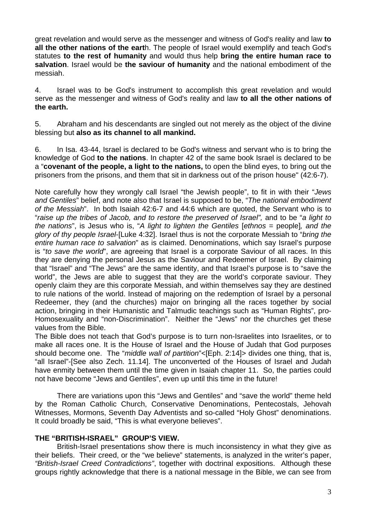great revelation and would serve as the messenger and witness of God's reality and law **to all the other nations of the eart**h. The people of Israel would exemplify and teach God's statutes **to the rest of humanity** and would thus help **bring the entire human race to salvation**. Israel would be **the saviour of humanity** and the national embodiment of the messiah.

4. Israel was to be God's instrument to accomplish this great revelation and would serve as the messenger and witness of God's reality and law **to all the other nations of the earth.** 

5. Abraham and his descendants are singled out not merely as the object of the divine blessing but **also as its channel to all mankind.** 

6. In Isa. 43-44, Israel is declared to be God's witness and servant who is to bring the knowledge of God **to the nations**. In chapter 42 of the same book Israel is declared to be a "**covenant of the people, a light to the nations,** to open the blind eyes, to bring out the prisoners from the prisons, and them that sit in darkness out of the prison house" (42:6-7).

Note carefully how they wrongly call Israel "the Jewish people", to fit in with their "*Jews and Gentiles*" belief, and note also that Israel is supposed to be, "*The national embodiment of the Messiah*". In both Isaiah 42:6-7 and 44:6 which are quoted, the Servant who is to "*raise up the tribes of Jacob, and to restore the preserved of Israel",* and to be "*a light to the nations*", is Jesus who is, "*A light to lighten the Gentiles* [*ethnos* = people]*, and the glory of thy people Israel*-[Luke 4:32]. Israel thus is not the corporate Messiah to "*bring the entire human race to salvation*" as is claimed. Denominations, which say Israel's purpose is "*to save the world*", are agreeing that Israel is a corporate Saviour of all races. In this they are denying the personal Jesus as the Saviour and Redeemer of Israel. By claiming that "Israel" and "The Jews" are the same identity, and that Israel's purpose is to "save the world", the Jews are able to suggest that they are the world's corporate saviour. They openly claim they are this corporate Messiah, and within themselves say they are destined to rule nations of the world. Instead of majoring on the redemption of Israel by a personal Redeemer, they (and the churches) major on bringing all the races together by social action, bringing in their Humanistic and Talmudic teachings such as "Human Rights", pro-Homosexuality and "non-Discrimination". Neither the "Jews" nor the churches get these values from the Bible.

The Bible does not teach that God's purpose is to turn non-Israelites into Israelites, or to make all races one. It is the House of Israel and the House of Judah that God purposes should become one. The "*middle wall of partition*"<[Eph. 2:14]> divides one thing, that is, "all Israel"-[See also Zech. 11.14]. The unconverted of the Houses of Israel and Judah have enmity between them until the time given in Isaiah chapter 11. So, the parties could not have become "Jews and Gentiles", even up until this time in the future!

 There are variations upon this "Jews and Gentiles" and "save the world" theme held by the Roman Catholic Church, Conservative Denominations, Pentecostals, Jehovah Witnesses, Mormons, Seventh Day Adventists and so-called "Holy Ghost" denominations. It could broadly be said, "This is what everyone believes".

#### **THE "BRITISH-ISRAEL" GROUP'S VIEW.**

 British-Israel presentations show there is much inconsistency in what they give as their beliefs. Their creed, or the "we believe" statements, is analyzed in the writer's paper, *"British-Israel Creed Contradictions"*, together with doctrinal expositions. Although these groups rightly acknowledge that there is a national message in the Bible, we can see from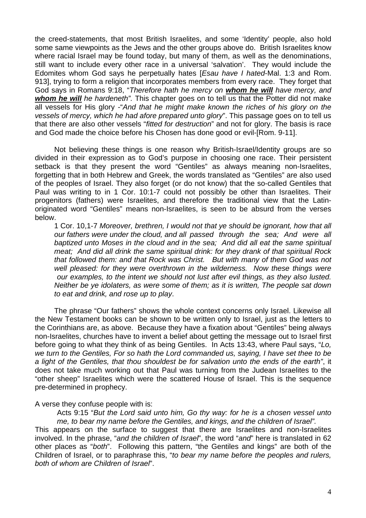the creed-statements, that most British Israelites, and some 'Identity' people, also hold some same viewpoints as the Jews and the other groups above do. British Israelites know where racial Israel may be found today, but many of them, as well as the denominations, still want to include every other race in a universal 'salvation'. They would include the Edomites whom God says he perpetually hates [*Esau have I hated*-Mal. 1:3 and Rom. 913], trying to form a religion that incorporates members from every race. They forget that God says in Romans 9:18, "*Therefore hath he mercy on whom he will have mercy, and whom he will he hardeneth".* This chapter goes on to tell us that the Potter did not make all vessels for His glory -"*And that he might make known the riches of his glory on the vessels of mercy, which he had afore prepared unto glory*". This passage goes on to tell us that there are also other vessels "*fitted for destruction*" and not for glory. The basis is race and God made the choice before his Chosen has done good or evil-[Rom. 9-11].

Not believing these things is one reason why British-Israel/Identity groups are so divided in their expression as to God's purpose in choosing one race. Their persistent setback is that they present the word "Gentiles" as always meaning non-Israelites, forgetting that in both Hebrew and Greek, the words translated as "Gentiles" are also used of the peoples of Israel. They also forget (or do not know) that the so-called Gentiles that Paul was writing to in 1 Cor. 10:1-7 could not possibly be other than Israelites. Their progenitors (fathers) were Israelites, and therefore the traditional view that the Latinoriginated word "Gentiles" means non-Israelites, is seen to be absurd from the verses below.

1 Cor. 10,1-7 *Moreover, brethren, I would not that ye should be ignorant, how that all our fathers were under the cloud, and all passed through the sea; And were all baptized unto Moses in the cloud and in the sea; And did all eat the same spiritual meat; And did all drink the same spiritual drink: for they drank of that spiritual Rock that followed them: and that Rock was Christ. But with many of them God was not*  well pleased: for they were overthrown in the wilderness. Now these things were  *our examples, to the intent we should not lust after evil things, as they also lusted. Neither be ye idolaters, as were some of them; as it is written, The people sat down to eat and drink, and rose up to play*.

The phrase "Our fathers" shows the whole context concerns only Israel. Likewise all the New Testament books can be shown to be written only to Israel, just as the letters to the Corinthians are, as above. Because they have a fixation about "Gentiles" being always non-Israelites, churches have to invent a belief about getting the message out to Israel first before going to what they think of as being Gentiles. In Acts 13:43, where Paul says, "*Lo, we turn to the Gentiles, For so hath the Lord commanded us, saying, I have set thee to be a light of the Gentiles, that thou shouldest be for salvation unto the ends of the earth"*, it does not take much working out that Paul was turning from the Judean Israelites to the "other sheep" Israelites which were the scattered House of Israel. This is the sequence pre-determined in prophecy.

A verse they confuse people with is:

Acts 9:15 "*But the Lord said unto him, Go thy way: for he is a chosen vessel unto me, to bear my name before the Gentiles, and kings, and the children of Israel".* 

This appears on the surface to suggest that there are Israelites and non-Israelites involved. In the phrase, "*and the children of Israel*", the word "*and*" here is translated in 62 other places as "*both*". Following this pattern, "the Gentiles and kings" are both of the Children of Israel, or to paraphrase this, "*to bear my name before the peoples and rulers, both of whom are Children of Israel*".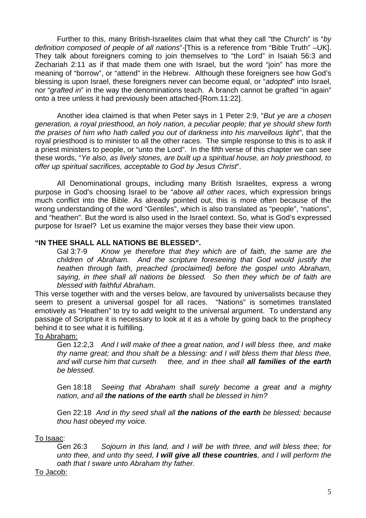Further to this, many British-Israelites claim that what they call "the Church" is "*by definition composed of people of all nations*"-[This is a reference from "Bible Truth" –UK]. They talk about foreigners coming to join themselves to "the Lord" in Isaiah 56:3 and Zechariah 2:11 as if that made them one with Israel, but the word "join" has more the meaning of "borrow", or "attend" in the Hebrew. Although these foreigners see how God's blessing is upon Israel, these foreigners never can become equal, or "*adopted*" into Israel, nor "*grafted in*" in the way the denominations teach. A branch cannot be grafted "in again" onto a tree unless it had previously been attached-[Rom.11:22].

Another idea claimed is that when Peter says in 1 Peter 2:9, "*But ye are a chosen generation, a royal priesthood, an holy nation, a peculiar people; that ye should shew forth the praises of him who hath called you out of darkness into his marvellous light"*, that the royal priesthood is to minister to all the other races. The simple response to this is to ask if a priest ministers to people, or "unto the Lord". In the fifth verse of this chapter we can see these words, "*Ye also, as lively stones, are built up a spiritual house, an holy priesthood, to offer up spiritual sacrifices, acceptable to God by Jesus Christ*".

All Denominational groups, including many British Israelites, express a wrong purpose in God's choosing Israel to be "*above all other races*, which expression brings much conflict into the Bible. As already pointed out, this is more often because of the wrong understanding of the word "Gentiles", which is also translated as "people", "nations", and "heathen". But the word is also used in the Israel context. So, what is God's expressed purpose for Israel? Let us examine the major verses they base their view upon.

# **"IN THEE SHALL ALL NATIONS BE BLESSED".**

Gal 3:7-9 *Know ye therefore that they which are of faith, the same are the children of Abraham. And the scripture foreseeing that God would justify the heathen through faith, preached (proclaimed) before the gospel unto Abraham, saying, in thee shall all nations be blessed. So then they which be of faith are blessed with faithful Abraham.*

This verse together with and the verses below, are favoured by universalists because they seem to present a universal gospel for all races. "Nations" is sometimes translated emotively as "Heathen" to try to add weight to the universal argument. To understand any passage of Scripture it is necessary to look at it as a whole by going back to the prophecy behind it to see what it is fulfilling.

#### To Abraham:

Gen 12:2,3 *And I will make of thee a great nation, and I will bless thee, and make thy name great; and thou shalt be a blessing: and I will bless them that bless thee, and will curse him that curseth thee, and in thee shall all families of the earth be blessed.* 

 Gen 18:18 *Seeing that Abraham shall surely become a great and a mighty nation, and all the nations of the earth shall be blessed in him?* 

 Gen 22:18 *And in thy seed shall all the nations of the earth be blessed; because thou hast obeyed my voice.* 

#### To Isaac:

Gen 26:3 *Sojourn in this land, and I will be with three, and will bless thee; for unto thee, and unto thy seed, I will give all these countries, and I will perform the oath that I sware unto Abraham thy father.* 

#### To Jacob: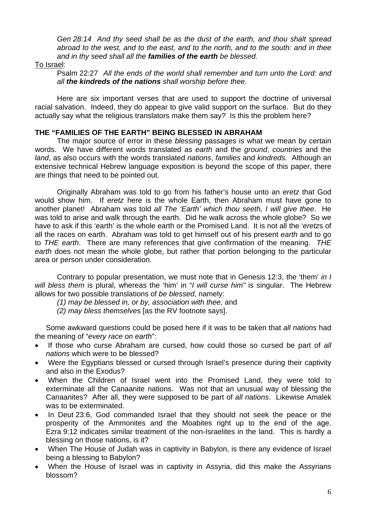*Gen 28:14 And thy seed shall be as the dust of the earth, and thou shalt spread abroad to the west, and to the east, and to the north, and to the south: and in thee and in thy seed shall all the families of the earth be blessed.* 

#### To Israel:

Psalm 22:27 *All the ends of the world shall remember and turn unto the Lord: and all the kindreds of the nations shall worship before thee.* 

Here are six important verses that are used to support the doctrine of universal racial salvation. Indeed, they do appear to give valid support on the surface. But do they actually say what the religious translators make them say? Is this the problem here?

#### **THE "FAMILIES OF THE EARTH" BEING BLESSED IN ABRAHAM**

The major source of error in these *blessing* passages is what we mean by certain words. We have different words translated as *earth* and the *ground*, *countries* and the *land*, as also occurs with the words translated *nations*, *families* and *kindreds.* Although an extensive technical Hebrew language exposition is beyond the scope of this paper, there are things that need to be pointed out.

Originally Abraham was told to go from his father's house unto an *eretz* that God would show him. If *eretz* here is the whole Earth, then Abraham must have gone to another planet! Abraham was told *all The 'Earth' which thou seeth, I will give thee*. He was told to arise and walk through the earth. Did he walk across the whole globe? So we have to ask if this 'earth' is the whole earth or the Promised Land. It is not all the '*eretz*s of all the races on earth. Abraham was told to get himself out of his present *earth* and to go to *THE earth*. There are many references that give confirmation of the meaning. *THE earth* does not mean the whole globe, but rather that portion belonging to the particular area or person under consideration.

Contrary to popular presentation, we must note that in Genesis 12:3, the 'them' *in I will bless them* is plural, whereas the 'him' in "*I will curse him"* is singular. The Hebrew allows for two possible translations of *be blessed*, namely:

- *(1) may be blessed in, or by, association with thee,* and
- *(2) may bless themselve*s [as the RV footnote says].

Some awkward questions could be posed here if it was to be taken that *all nations* had the meaning of "*every race on earth*":

- If those who curse Abraham are cursed, how could those so cursed be part of *all nations* which were to be blessed?
- Were the Egyptians blessed or cursed through Israel's presence during their captivity and also in the Exodus?
- When the Children of Israel went into the Promised Land, they were told to exterminate all the Canaanite nations. Was not that an unusual way of blessing the Canaanites? After all, they were supposed to be part of *all nations*. Likewise Amalek was to be exterminated.
- In Deut 23:6, God commanded Israel that they should not seek the peace or the prosperity of the Ammonites and the Moabites right up to the end of the age. Ezra 9:12 indicates similar treatment of the non-Israelites in the land. This is hardly a blessing on those nations, is it?
- When The House of Judah was in captivity in Babylon, is there any evidence of Israel being a blessing to Babylon?
- When the House of Israel was in captivity in Assyria, did this make the Assyrians blossom?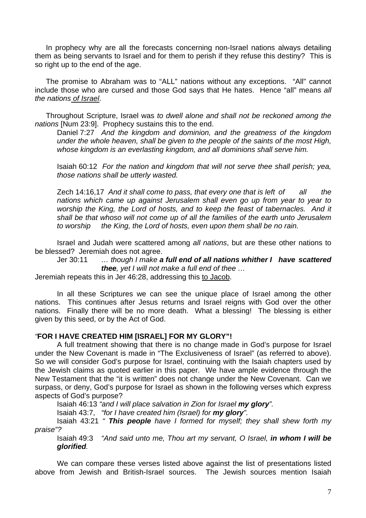In prophecy why are all the forecasts concerning non-Israel nations always detailing them as being servants to Israel and for them to perish if they refuse this destiny? This is so right up to the end of the age.

The promise to Abraham was to "ALL" nations without any exceptions. "All" cannot include those who are cursed and those God says that He hates. Hence "all" means *all the nations of Israel*.

Throughout Scripture, Israel was *to dwell alone and shall not be reckoned among the nations* [Num 23:9]. Prophecy sustains this to the end.

Daniel 7:27 *And the kingdom and dominion, and the greatness of the kingdom under the whole heaven, shall be given to the people of the saints of the most High, whose kingdom is an everlasting kingdom, and all dominions shall serve him.* 

Isaiah 60:12 *For the nation and kingdom that will not serve thee shall perish; yea, those nations shall be utterly wasted.* 

Zech 14:16,17 *And it shall come to pass, that every one that is left of all the nations which came up against Jerusalem shall even go up from year to year to worship the King, the Lord of hosts, and to keep the feast of tabernacles. And it shall be that whoso will not come up of all the families of the earth unto Jerusalem to worship the King, the Lord of hosts, even upon them shall be no rain.*

Israel and Judah were scattered among *all nations*, but are these other nations to be blessed? Jeremiah does not agree.

Jer 30:11 *… though I make a full end of all nations whither I have scattered thee, yet I will not make a full end of thee …* 

Jeremiah repeats this in Jer 46:28, addressing this to Jacob.

In all these Scriptures we can see the unique place of Israel among the other nations. This continues after Jesus returns and Israel reigns with God over the other nations. Finally there will be no more death. What a blessing! The blessing is either given by this seed, or by the Act of God.

#### *"***FOR I HAVE CREATED HIM [ISRAEL] FOR MY GLORY"!**

A full treatment showing that there is no change made in God's purpose for Israel under the New Covenant is made in "The Exclusiveness of Israel" (as referred to above). So we will consider God's purpose for Israel, continuing with the Isaiah chapters used by the Jewish claims as quoted earlier in this paper. We have ample evidence through the New Testament that the "it is written" does not change under the New Covenant. Can we surpass, or deny, God's purpose for Israel as shown in the following verses which express aspects of God's purpose?

Isaiah 46:13 *"and I will place salvation in Zion for Israel my glory".*

Isaiah 43:7, *"for I have created him (Israel) for my glory".*

 Isaiah 43:21 *" This people have I formed for myself; they shall shew forth my praise"?*

 Isaiah 49:3 *"And said unto me, Thou art my servant, O Israel, in whom I will be glorified.* 

We can compare these verses listed above against the list of presentations listed above from Jewish and British-Israel sources. The Jewish sources mention Isaiah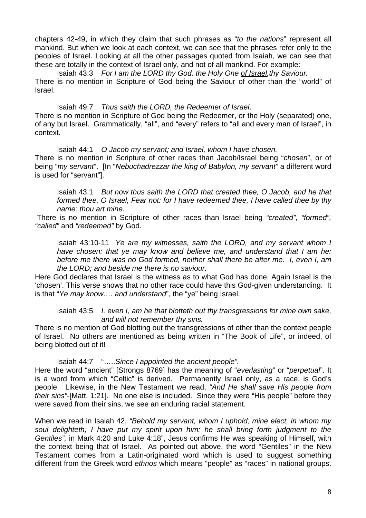chapters 42-49, in which they claim that such phrases as "*to the nations*" represent all mankind. But when we look at each context, we can see that the phrases refer only to the peoples of Israel. Looking at all the other passages quoted from Isaiah, we can see that these are totally in the context of Israel only, and not of all mankind. For example:

Isaiah 43:3 *For I am the LORD thy God, the Holy One of Israel,thy Saviour.* 

There is no mention in Scripture of God being the Saviour of other than the "world" of Israel.

 Isaiah 49:7 *Thus saith the LORD, the Redeemer of Israel*. There is no mention in Scripture of God being the Redeemer, or the Holy (separated) one, of any but Israel. Grammatically, "all", and "every" refers to "all and every man of Israel", in context.

Isaiah 44:1 *O Jacob my servant; and Israel, whom I have chosen.* There is no mention in Scripture of other races than Jacob/Israel being "*chosen*", or of being "*my servant*". [In "*Nebuchadrezzar the king of Babylon, my servant"* a different word is used for "servant"].

Isaiah 43:1 *But now thus saith the LORD that created thee, O Jacob, and he that formed thee, O Israel, Fear not: for I have redeemed thee, I have called thee by thy name; thou art mine.* 

 There is no mention in Scripture of other races than Israel being *"created", "formed", "called"* and *"redeemed"* by God.

Isaiah 43:10-11 *Ye are my witnesses, saith the LORD, and my servant whom I have chosen: that ye may know and believe me, and understand that I am he: before me there was no God formed, neither shall there be after me. I, even I, am the LORD; and beside me there is no saviour.* 

Here God declares that Israel is the witness as to what God has done. Again Israel is the 'chosen'. This verse shows that no other race could have this God-given understanding. It is that "*Ye may know…. and understand*", the "ye" being Israel.

Isaiah 43:5 *I, even I, am he that blotteth out thy transgressions for mine own sake, and will not remember thy sins.* 

There is no mention of God blotting out the transgressions of other than the context people of Israel. No others are mentioned as being written in "The Book of Life", or indeed, of being blotted out of it!

Isaiah 44:7 "…..*Since I appointed the ancient people".*

Here the word "ancient" [Strongs 8769] has the meaning of "*everlasting*" or "*perpetual*". It is a word from which "Celtic" is derived. Permanently Israel only, as a race, is God's people. Likewise, in the New Testament we read, *"And He shall save His people from their sins"*-[Matt. 1:21]*.* No one else is included. Since they were "His people" before they were saved from their sins, we see an enduring racial statement.

When we read in Isaiah 42, *"Behold my servant, whom I uphold; mine elect, in whom my soul delighteth; I have put my spirit upon him: he shall bring forth judgment to the Gentiles",* in Mark 4:20 and Luke 4:18", Jesus confirms He was speaking of Himself, with the context being that of Israel. As pointed out above, the word "Gentiles" in the New Testament comes from a Latin-originated word which is used to suggest something different from the Greek word *ethnos* which means "people" as "races" in national groups.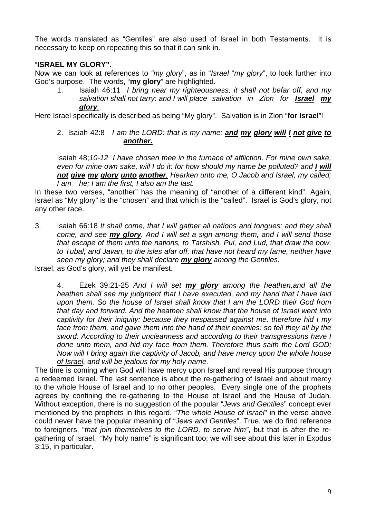The words translated as "Gentiles" are also used of Israel in both Testaments. It is necessary to keep on repeating this so that it can sink in.

# "**ISRAEL MY GLORY".**

Now we can look at references to *"my glory*", as in "*Israel* "*my glory*", to look further into God's purpose. The words, "**my glory**" are highlighted.

1. Isaiah 46:11 *I bring near my righteousness; it shall not befar off, and my salvation shall not tarry: and I will place salvation in Zion for Israel my glory.*

Here Israel specifically is described as being "My glory". Salvation is in Zion "**for Israel**"!

2. Isaiah 42:8 *I am the LORD: that is my name: and my glory will I not give to another.*

Isaiah 48;*10-12 I have chosen thee in the furnace of affliction. For mine own sake, even for mine own sake, will I do it: for how should my name be polluted? and I will not give my glory unto another. Hearken unto me, O Jacob and Israel, my called; I am he; I am the first, I also am the last.*

In these two verses, "another" has the meaning of "another of a different kind". Again, Israel as "My glory" is the "chosen" and that which is the "called". Israel is God's glory, not any other race.

3. Isaiah 66:18 *It shall come, that I will gather all nations and tongues; and they shall come, and see my glory. And I will set a sign among them, and I will send those that escape of them unto the nations, to Tarshish, Pul, and Lud, that draw the bow, to Tubal, and Javan, to the isles afar off, that have not heard my fame, neither have seen my glory; and they shall declare my glory among the Gentiles.* 

Israel, as God's glory, will yet be manifest.

4. Ezek 39:21-25 *And I will set my glory among the heathen,and all the heathen shall see my judgment that I have executed, and my hand that I have laid upon them. So the house of Israel shall know that I am the LORD their God from that day and forward. And the heathen shall know that the house of Israel went into captivity for their iniquity: because they trespassed against me, therefore hid I my face from them, and gave them into the hand of their enemies: so fell they all by the sword. According to their uncleanness and according to their transgressions have I done unto them, and hid my face from them. Therefore thus saith the Lord GOD; Now will I bring again the captivity of Jacob, and have mercy upon the whole house of Israel, and will be jealous for my holy name.* 

The time is coming when God will have mercy upon Israel and reveal His purpose through a redeemed Israel. The last sentence is about the re-gathering of Israel and about mercy to the whole House of Israel and to no other peoples. Every single one of the prophets agrees by confining the re-gathering to the House of Israel and the House of Judah. Without exception, there is no suggestion of the popular "*Jews and Gentiles*" concept ever mentioned by the prophets in this regard. "*The whole House of Israel*" in the verse above could never have the popular meaning of "*Jews and Gentiles*". True, we do find reference to foreigners, "*that join themselves to the LORD, to serve him"*, but that is after the regathering of Israel. "My holy name" is significant too; we will see about this later in Exodus 3:15, in particular.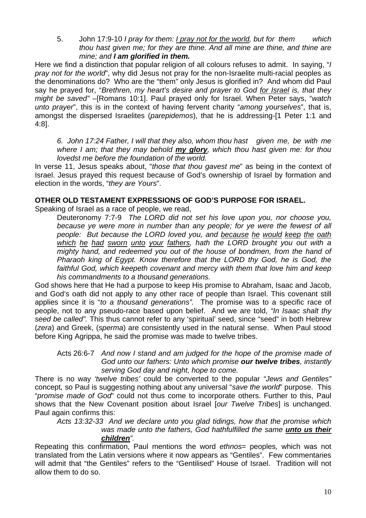5. John 17:9-10 *I pray for them: I pray not for the world, but for them which thou hast given me; for they are thine. And all mine are thine, and thine are mine; and I am glorified in them.* 

Here we find a distinction that popular religion of all colours refuses to admit. In saying, "*I pray not for the world*", why did Jesus not pray for the non-Israelite multi-racial peoples as the denominations do? Who are the "them" only Jesus is glorified in? And whom did Paul say he prayed for, "*Brethren, my heart's desire and prayer to God for Israel is, that they might be saved"* –[Romans 10:1]. Paul prayed only for Israel. When Peter says, "*watch unto prayer*", this is in the context of having fervent charity "*among yourselves*", that is, amongst the dispersed Israelites (*parepidemos*), that he is addressing-[1 Peter 1:1 and 4:8].

*6. John 17:24 Father, I will that they also, whom thou hast given me, be with me where I am; that they may behold my glory, which thou hast given me: for thou lovedst me before the foundation of the world.*

In verse 11, Jesus speaks about, "*those that thou gavest me*" as being in the context of Israel. Jesus prayed this request because of God's ownership of Israel by formation and election in the words, "*they are Yours*".

#### **OTHER OLD TESTAMENT EXPRESSIONS OF GOD'S PURPOSE FOR ISRAEL.**

Speaking of Israel as a race of people, we read,

Deuteronomy 7:7-9 *The LORD did not set his love upon you, nor choose you, because ye were more in number than any people; for ye were the fewest of all people: But because the LORD loved you, and because he would keep the oath which he had sworn unto your fathers, hath the LORD brought you out with a mighty hand, and redeemed you out of the house of bondmen, from the hand of Pharaoh king of Egypt. Know therefore that the LORD thy God, he is God, the faithful God, which keepeth covenant and mercy with them that love him and keep his commandments to a thousand generations.* 

God shows here that He had a purpose to keep His promise to Abraham, Isaac and Jacob, and God's oath did not apply to any other race of people than Israel. This covenant still applies since it is "*to a thousand generations".* The promise was to a specific race of people, not to any pseudo-race based upon belief. And we are told, *"In Isaac shalt thy seed be called".* This thus cannot refer to any 'spiritual' seed, since "seed" in both Hebrew (*zera*) and Greek, (*sperma*) are consistently used in the natural sense. When Paul stood before King Agrippa, he said the promise was made to twelve tribes.

Acts 26:6-7 *And now I stand and am judged for the hope of the promise made of God unto our fathers: Unto which promise our twelve tribes, instantly serving God day and night, hope to come.* 

There is no way *'twelve tribes'* could be converted to the popular *"Jews and Gentiles"* concept*,* so Paul is suggesting nothing about any universal "*save the world*" purpose. This "*promise made of God*" could not thus come to incorporate others. Further to this, Paul shows that the New Covenant position about Israel [*our Twelve Tribes*] is unchanged. Paul again confirms this:

*Acts 13:32-33 And we declare unto you glad tidings, how that the promise which was made unto the fathers, God hathfulfilled the same unto us their children".* 

Repeating this confirmation, Paul mentions the word *ethnos*= peoples*,* which was not translated from the Latin versions where it now appears as "Gentiles". Few commentaries will admit that "the Gentiles" refers to the "Gentilised" House of Israel. Tradition will not allow them to do so.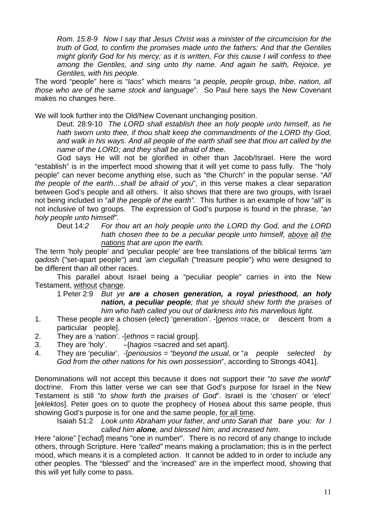*Rom. 15:8-9 Now I say that Jesus Christ was a minister of the circumcision for the truth of God, to confirm the promises made unto the fathers: And that the Gentiles might glorify God for his mercy; as it is written, For this cause I will confess to thee among the Gentiles, and sing unto thy name. And again he saith, Rejoice, ye Gentiles, with his people.* 

The word "people" here is "*laos"* which means "*a people, people group, tribe, nation, all those who are of the same stock and language*". So Paul here says the New Covenant makes no changes here.

We will look further into the Old/New Covenant unchanging position.

Deut. 28:9-10 *The LORD shall establish thee an holy people unto himself, as he*  hath sworn unto thee, if thou shalt keep the commandments of the LORD thy God. *and walk in his ways. And all people of the earth shall see that thou art called by the name of the LORD; and they shall be afraid of thee.* 

God says He will not be glorified in other than Jacob/Israel. Here the word "establish" is in the imperfect mood showing that it will yet come to pass fully. The "holy people" can never become anything else, such as "the Church" in the popular sense. "*All the people of the earth…shall be afraid of you*", in this verse makes a clear separation between God's people and all others. It also shows that there are two groups, with Israel not being included in "*all the people of the earth".* This further is an example of how "all" is not inclusive of two groups. The expression of God's purpose is found in the phrase, *"an holy people unto himself".* 

Deut 14:*2 For thou art an holy people unto the LORD thy God, and the LORD hath chosen thee to be a peculiar people unto himself, above all the nations that are upon the earth.* 

The term 'holy people' and 'peculiar people' are free translations of the biblical terms *'am qadosh* ("set-apart people") and *'am c\egullah* ("treasure people") who were designed to be different than all other races.

This parallel about Israel being a "peculiar people" carries in into the New Testament, without change.

1 Peter 2:9 *But ye are a chosen generation, a royal priesthood, an holy nation, a peculiar people; that ye should shew forth the praises of him who hath called you out of darkness into his marvellous light.* 

- 1. These people are a chosen (elect) 'generation'. -[*genos =*race, or descent from a particular people].
- 2. They are a 'nation'. -[*ethnos* = racial group].
- 3. They are 'holy'. –[*hagios* =sacred and set apart].
- 4. They are 'peculiar'. -[*periousios = "beyond the usual*, or "*a people selected by God from the other nations for his own possession*", according to Strongs 4041].

Denominations will not accept this because it does not support their "*to save the world*" doctrine. From this latter verse we can see that God's purpose for Israel in the New Testament is still "*to show forth the praises of God*". Israel is the 'chosen' or 'elect' [*eklektos*]. Peter goes on to quote the prophecy of Hosea about this same people, thus showing God's purpose is for one and the same people, for all time.

Isaiah 51:2 *Look unto Abraham your father, and unto Sarah that bare you: for I called him alone, and blessed him, and increased him*.

Here "alone" [*'echad*] means "one in number". There is no record of any change to include others, through Scripture. Here *"called"* means making a proclamation; this is in the perfect mood, which means it is a completed action. It cannot be added to in order to include any other peoples. The "blessed" and the 'increased" are in the imperfect mood, showing that this will yet fully come to pass.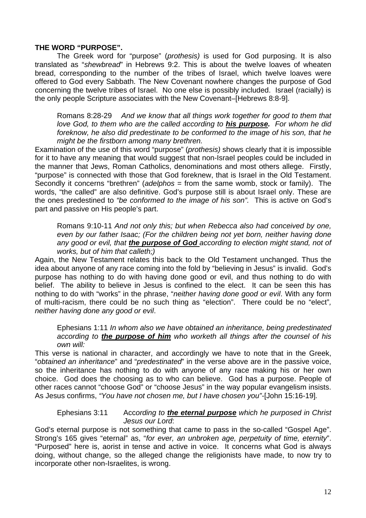#### **THE WORD "PURPOSE".**

The Greek word for "purpose" (*prothesis)* is used for God purposing. It is also translated as "*shewbread*" in Hebrews 9:2. This is about the twelve loaves of wheaten bread, corresponding to the number of the tribes of Israel, which twelve loaves were offered to God every Sabbath. The New Covenant nowhere changes the purpose of God concerning the twelve tribes of Israel. No one else is possibly included. Israel (racially) is the only people Scripture associates with the New Covenant–[Hebrews 8:8-9].

Romans 8:28-29 *And we know that all things work together for good to them that love God, to them who are the called according to his purpose. For whom he did foreknow, he also did predestinate to be conformed to the image of his son, that he might be the firstborn among many brethren.*

Examination of the use of this word "purpose" (*prothesis)* shows clearly that it is impossible for it to have any meaning that would suggest that non-Israel peoples could be included in the manner that Jews, Roman Catholics, denominations and most others allege. Firstly, "purpose" is connected with those that God foreknew, that is Israel in the Old Testament. Secondly it concerns "brethren" (*adelphos* = from the same womb, stock or family). The words, "the called" are also definitive. God's purpose still is about Israel only. These are the ones predestined to *"be conformed to the image of his son".* This is active on God's part and passive on His people's part.

Romans 9:10-11 *And not only this; but when Rebecca also had conceived by one, even by our father Isaac; (For the children being not yet born, neither having done any good or evil, that the purpose of God according to election might stand, not of works, but of him that calleth;)* 

Again, the New Testament relates this back to the Old Testament unchanged. Thus the idea about anyone of any race coming into the fold by "believing in Jesus" is invalid. God's purpose has nothing to do with having done good or evil, and thus nothing to do with belief. The ability to believe in Jesus is confined to the elect. It can be seen this has nothing to do with "works" in the phrase, "*neither having done good or evil*. With any form of multi-racism, there could be no such thing as "election". There could be no "elect"*, neither having done any good or evil*.

Ephesians 1:11 *In whom also we have obtained an inheritance, being predestinated according to the purpose of him who worketh all things after the counsel of his own will:* 

This verse is national in character, and accordingly we have to note that in the Greek, "*obtained an inheritance*" and "*predestinated*" in the verse above are in the passive voice, so the inheritance has nothing to do with anyone of any race making his or her own choice. God does the choosing as to who can believe. God has a purpose. People of other races cannot "choose God" or "choose Jesus" in the way popular evangelism insists. As Jesus confirms, *"You have not chosen me, but I have chosen you"-*[John 15:16-19]*.* 

#### Ephesians 3:11 Acc*ording to the eternal purpose which he purposed in Christ Jesus our Lord*:

God's eternal purpose is not something that came to pass in the so-called "Gospel Age". Strong's 165 gives "eternal" as, "*for ever, an unbroken age, perpetuity of time, eternity*". "Purposed" here is, aorist in tense and active in voice. It concerns what God is always doing, without change, so the alleged change the religionists have made, to now try to incorporate other non-Israelites, is wrong.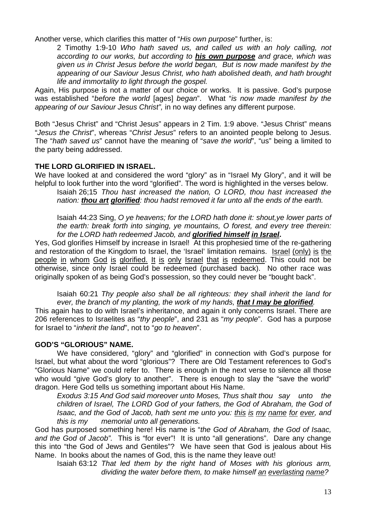Another verse, which clarifies this matter of "*His own purpose*" further, is:

2 Timothy 1:9-10 *Who hath saved us, and called us with an holy calling, not according to our works, but according to his own purpose and grace, which was given us in Christ Jesus before the world began, But is now made manifest by the appearing of our Saviour Jesus Christ, who hath abolished death, and hath brought life and immortality to light through the gospel.* 

Again, His purpose is not a matter of our choice or works. It is passive. God's purpose was established "*before the world* [ages] *began*". What "*is now made manifest by the appearing of our Saviour Jesus Christ",* in no way defines any different purpose.

Both "Jesus Christ" and "Christ Jesus" appears in 2 Tim. 1:9 above. "Jesus Christ" means "*Jesus the Christ*", whereas "*Christ Jesus*" refers to an anointed people belong to Jesus. The "*hath saved us*" cannot have the meaning of "*save the world*", "us" being a limited to the party being addressed.

### **THE LORD GLORIFIED IN ISRAEL.**

We have looked at and considered the word "glory" as in "Israel My Glory", and it will be helpful to look further into the word "glorified". The word is highlighted in the verses below.

Isaiah 26;15 *Thou hast increased the nation, O LORD, thou hast increased the nation: thou art glorified: thou hadst removed it far unto all the ends of the earth.* 

Isaiah 44:23 Sing, *O ye heavens; for the LORD hath done it: shout,ye lower parts of the earth: break forth into singing, ye mountains, O forest, and every tree therein: for the LORD hath redeemed Jacob, and glorified himself in Israel***.**

Yes, God glorifies Himself by increase in Israel! At this prophesied time of the re-gathering and restoration of the Kingdom to Israel, the 'Israel' limitation remains. Israel (only) is the people in whom God is glorified. It is only Israel that is redeemed. This could not be otherwise, since only Israel could be redeemed (purchased back). No other race was originally spoken of as being God's possession, so they could never be "bought back".

Isaiah 60:21 *Thy people also shall be all righteous: they shall inherit the land for ever, the branch of my planting, the work of my hands, that I may be glorified.* 

This again has to do with Israel's inheritance, and again it only concerns Israel. There are 206 references to Israelites as "*thy people*", and 231 as "*my people*". God has a purpose for Israel to "*inherit the land*", not to "*go to heaven*".

#### **GOD'S "GLORIOUS" NAME.**

We have considered, "glory" and "glorified" in connection with God's purpose for Israel, but what about the word "glorious"? There are Old Testament references to God's "Glorious Name" we could refer to. There is enough in the next verse to silence all those who would "give God's glory to another". There is enough to slay the "save the world" dragon. Here God tells us something important about His Name.

*Exodus 3:15 And God said moreover unto Moses, Thus shalt thou say unto the children of Israel, The LORD God of your fathers, the God of Abraham, the God of Isaac, and the God of Jacob, hath sent me unto you: this is my name for ever, and this is my memorial unto all generations.* 

God has purposed something here! His name is "*the God of Abraham, the God of Isaac, and the God of Jacob".* This is "for ever"! It is unto "all generations". Dare any change this into "the God of Jews and Gentiles"? We have seen that God is jealous about His Name. In books about the names of God, this is the name they leave out!

Isaiah 63:12 *That led them by the right hand of Moses with his glorious arm, dividing the water before them, to make himself an everlasting name?*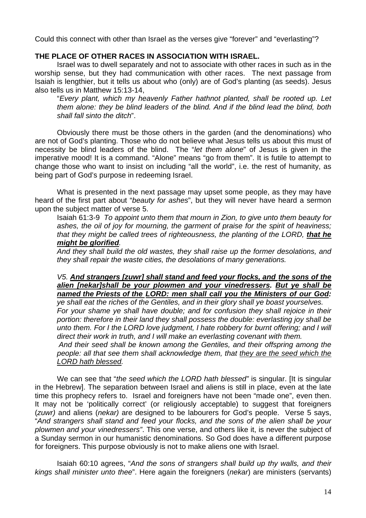Could this connect with other than Israel as the verses give "forever" and "everlasting"?

### **THE PLACE OF OTHER RACES IN ASSOCIATION WITH ISRAEL.**

Israel was to dwell separately and not to associate with other races in such as in the worship sense, but they had communication with other races. The next passage from Isaiah is lengthier, but it tells us about who (only) are of God's planting (as seeds). Jesus also tells us in Matthew 15:13-14,

"*Every plant, which my heavenly Father hathnot planted, shall be rooted up. Let them alone: they be blind leaders of the blind. And if the blind lead the blind, both shall fall sinto the ditch*".

Obviously there must be those others in the garden (and the denominations) who are not of God's planting. Those who do not believe what Jesus tells us about this must of necessity be blind leaders of the blind. The "*let them alone*" of Jesus is given in the imperative mood! It is a command. "Alone" means "go from them". It is futile to attempt to change those who want to insist on including "all the world", i.e. the rest of humanity, as being part of God's purpose in redeeming Israel.

What is presented in the next passage may upset some people, as they may have heard of the first part about "*beauty for ashes*", but they will never have heard a sermon upon the subject matter of verse 5.

Isaiah 61:3*-*9 *To appoint unto them that mourn in Zion, to give unto them beauty for ashes, the oil of joy for mourning, the garment of praise for the spirit of heaviness; that they might be called trees of righteousness, the planting of the LORD. that he might be glorified.* 

*And they shall build the old wastes, they shall raise up the former desolations, and they shall repair the waste cities, the desolations of many generations.* 

# *V5. And strangers [zuwr] shall stand and feed your flocks, and the sons of the alien [nekar]shall be your plowmen and your vinedressers. But ye shall be named the Priests of the LORD: men shall call you the Ministers of our God:*

*ye shall eat the riches of the Gentiles, and in their glory shall ye boast yourselves. For your shame ye shall have double; and for confusion they shall rejoice in their portion: therefore in their land they shall possess the double: everlasting joy shall be unto them. For I the LORD love judgment, I hate robbery for burnt offering; and I will direct their work in truth, and I will make an everlasting covenant with them.* 

*And their seed shall be known among the Gentiles, and their offspring among the people: all that see them shall acknowledge them, that they are the seed which the LORD hath blessed.* 

We can see that "*the seed which the LORD hath blessed"* is singular. [It is singular in the Hebrew]. The separation between Israel and aliens is still in place, even at the late time this prophecy refers to. Israel and foreigners have not been "made one", even then. It may not be 'politically correct' (or religiously acceptable) to suggest that foreigners (*zuwr)* and aliens (*nekar)* are designed to be labourers for God's people. Verse 5 says, "*And strangers shall stand and feed your flocks, and the sons of the alien shall be your plowmen and your vinedressers"*. This one verse, and others like it, is never the subject of a Sunday sermon in our humanistic denominations. So God does have a different purpose for foreigners. This purpose obviously is not to make aliens one with Israel.

Isaiah 60:10 agrees, "*And the sons of strangers shall build up thy walls, and their kings shall minister unto thee*". Here again the foreigners (*nekar*) are ministers (servants)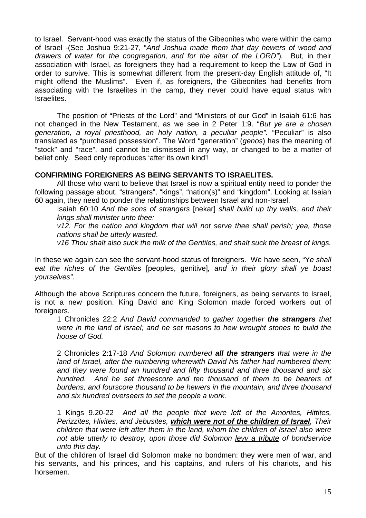to Israel. Servant-hood was exactly the status of the Gibeonites who were within the camp of Israel -(See Joshua 9:21-27, "*And Joshua made them that day hewers of wood and drawers of water for the congregation, and for the altar of the LORD"*)*.* But, in their association with Israel, as foreigners they had a requirement to keep the Law of God in order to survive. This is somewhat different from the present-day English attitude of, "It might offend the Muslims". Even if, as foreigners, the Gibeonites had benefits from associating with the Israelites in the camp, they never could have equal status with Israelites.

The position of "Priests of the Lord" and "Ministers of our God" in Isaiah 61:6 has not changed in the New Testament, as we see in 2 Peter 1:9. "*But ye are a chosen generation, a royal priesthood, an holy nation, a peculiar people".* "Peculiar" is also translated as "purchased possession". The Word "generation" (*genos*) has the meaning of "stock" and "race", and cannot be dismissed in any way, or changed to be a matter of belief only. Seed only reproduces 'after its own kind'!

### **CONFIRMING FOREIGNERS AS BEING SERVANTS TO ISRAELITES.**

All those who want to believe that Israel is now a spiritual entity need to ponder the following passage about, "strangers", "kings", "nation(s)" and "kingdom". Looking at Isaiah 60 again, they need to ponder the relationships between Israel and non-Israel.

Isaiah 60:10 *And the sons of strangers* [nekar] *shall build up thy walls, and their kings shall minister unto thee:* 

 *v12. For the nation and kingdom that will not serve thee shall perish; yea, those nations shall be utterly wasted*.

*v16 Thou shalt also suck the milk of the Gentiles, and shalt suck the breast of kings.* 

In these we again can see the servant-hood status of foreigners. We have seen, "Y*e shall eat the riches of the Gentiles* [peoples, genitive]*, and in their glory shall ye boast yourselves".*

Although the above Scriptures concern the future, foreigners, as being servants to Israel, is not a new position. King David and King Solomon made forced workers out of foreigners.

1 Chronicles 22:2 *And David commanded to gather together the strangers that were in the land of Israel; and he set masons to hew wrought stones to build the house of God.* 

2 Chronicles 2:17-18 *And Solomon numbered all the strangers that were in the land of Israel, after the numbering wherewith David his father had numbered them; and they were found an hundred and fifty thousand and three thousand and six hundred. And he set threescore and ten thousand of them to be bearers of burdens, and fourscore thousand to be hewers in the mountain, and three thousand and six hundred overseers to set the people a work.* 

1 Kings 9.20-22 *And all the people that were left of the Amorites, Hittites, Perizzites, Hivites, and Jebusites, which were not of the children of Israel, Their children that were left after them in the land, whom the children of Israel also were not able utterly to destroy, upon those did Solomon levy a tribute of bondservice unto this day.* 

But of the children of Israel did Solomon make no bondmen: they were men of war, and his servants, and his princes, and his captains, and rulers of his chariots, and his horsemen.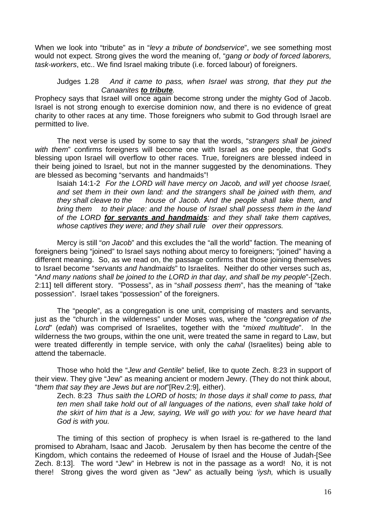When we look into "tribute" as in "*levy a tribute of bondservice*", we see something most would not expect. Strong gives the word the meaning of, "*gang or body of forced laborers, task-workers*, etc.. We find Israel making tribute (i.e. forced labour) of foreigners.

#### Judges 1.28 *And it came to pass, when Israel was strong, that they put the Canaanites to tribute.*

Prophecy says that Israel will once again become strong under the mighty God of Jacob. Israel is not strong enough to exercise dominion now, and there is no evidence of great charity to other races at any time. Those foreigners who submit to God through Israel are permitted to live.

The next verse is used by some to say that the words, "*strangers shall be joined with them*" confirms foreigners will become one with Israel as one people, that God's blessing upon Israel will overflow to other races. True, foreigners are blessed indeed in their being joined to Israel, but not in the manner suggested by the denominations. They are blessed as becoming "servants and handmaids"!

Isaiah 14:1-2 *For the LORD will have mercy on Jacob, and will yet choose Israel, and set them in their own land: and the strangers shall be joined with them, and they shall cleave to the house of Jacob. And the people shall take them, and bring them to their place: and the house of Israel shall possess them in the land of the LORD for servants and handmaids: and they shall take them captives,*  whose captives they were; and they shall rule over their oppressors.

Mercy is still "*on Jacob*" and this excludes the "all the world" faction. The meaning of foreigners being "joined" to Israel says nothing about mercy to foreigners; "joined" having a different meaning. So, as we read on, the passage confirms that those joining themselves to Israel become "*servants and handmaids*" to Israelites. Neither do other verses such as, "*And many nations shall be joined to the LORD in that day, and shall be my people*"-[Zech. 2:11] tell different story. "Possess", as in "*shall possess them*", has the meaning of "take possession". Israel takes "possession" of the foreigners.

The "people", as a congregation is one unit, comprising of masters and servants, just as the "church in the wilderness" under Moses was, where the "*congregation of the Lord*" (*edah*) was comprised of Israelites, together with the "*mixed multitude*". In the wilderness the two groups, within the one unit, were treated the same in regard to Law, but were treated differently in temple service, with only the c*ahal* (Israelites) being able to attend the tabernacle.

 Those who hold the "*Jew and Gentile*" belief, like to quote Zech. 8:23 in support of their view. They give "Jew" as meaning ancient or modern Jewry. (They do not think about, "*them that say they are Jews but are not*"[Rev.2:9], either).

Zech. 8:23 *Thus saith the LORD of hosts; In those days it shall come to pass, that ten men shall take hold out of all languages of the nations, even shall take hold of the skirt of him that is a Jew, saying, We will go with you: for we have heard that God is with you.* 

The timing of this section of prophecy is when Israel is re-gathered to the land promised to Abraham, Isaac and Jacob. Jerusalem by then has become the centre of the Kingdom, which contains the redeemed of House of Israel and the House of Judah-[See Zech. 8:13]. The word "Jew" in Hebrew is not in the passage as a word! No, it is not there! Strong gives the word given as "Jew" as actually being *'iysh,* which is usually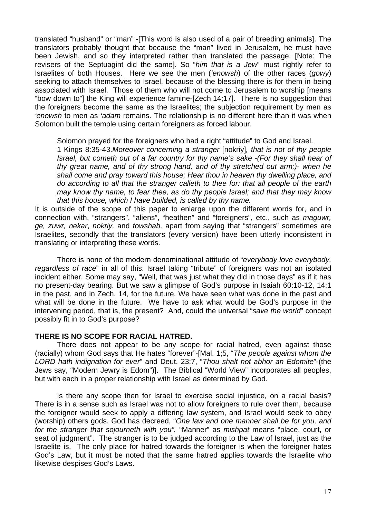translated "husband" or "man" -[This word is also used of a pair of breeding animals]. The translators probably thought that because the "man" lived in Jerusalem, he must have been Jewish, and so they interpreted rather than translated the passage. [Note: The revisers of the Septuagint did the same]. So "*him that is a Jew*" must rightly refer to Israelites of both Houses. Here we see the men (*'enowsh*) of the other races (*gowy*) seeking to attach themselves to Israel, because of the blessing there is for them in being associated with Israel. Those of them who will not come to Jerusalem to worship [means "bow down to"] the King will experience famine-[Zech.14;17]. There is no suggestion that the foreigners become the same as the Israelites; the subjection requirement by men as *'enowsh* to men as *'adam* remains. The relationship is no different here than it was when Solomon built the temple using certain foreigners as forced labour.

Solomon prayed for the foreigners who had a right "attitude" to God and Israel.

1 Kings 8:35-43.*Moreover concerning a stranger* [nokriy]*, that is not of thy people Israel, but cometh out of a far country for thy name's sake -(For they shall hear of thy great name, and of thy strong hand, and of thy stretched out arm;)- when he shall come and pray toward this house; Hear thou in heaven thy dwelling place, and do according to all that the stranger calleth to thee for: that all people of the earth may know thy name, to fear thee, as do thy people Israel; and that they may know that this house, which I have builded, is called by thy name.* 

It is outside of the scope of this paper to enlarge upon the different words for, and in connection with, "strangers", "aliens", "heathen" and "foreigners", etc., such as *maguwr, ge, zuwr, nekar*, *nokriy,* and *towshab,* apart from saying that "strangers" sometimes are Israelites, secondly that the translators (every version) have been utterly inconsistent in translating or interpreting these words.

There is none of the modern denominational attitude of "*everybody love everybody, regardless of race*" in all of this. Israel taking "tribute" of foreigners was not an isolated incident either. Some may say, "Well, that was just what they did in those days" as if it has no present-day bearing. But we saw a glimpse of God's purpose in Isaiah 60:10-12, 14:1 in the past, and in Zech. 14, for the future. We have seen what was done in the past and what will be done in the future. We have to ask what would be God's purpose in the intervening period, that is, the present? And, could the universal "*save the world*" concept possibly fit in to God's purpose?

#### **THERE IS NO SCOPE FOR RACIAL HATRED.**

There does not appear to be any scope for racial hatred, even against those (racially) whom God says that He hates "forever"-[Mal. 1;5, "*The people against whom the LORD hath indignation for ever*" and Deut. 23;7, "*Thou shalt not abhor an Edomite*"-(the Jews say, "Modern Jewry is Edom")]. The Biblical "World View" incorporates all peoples, but with each in a proper relationship with Israel as determined by God.

Is there any scope then for Israel to exercise social injustice, on a racial basis? There is in a sense such as Israel was not to allow foreigners to rule over them, because the foreigner would seek to apply a differing law system, and Israel would seek to obey (worship) others gods. God has decreed, "*One law and one manner shall be for you, and for the stranger that sojourneth with you".* "Manner" as *mishpat* means "place, court, or seat of judgment". The stranger is to be judged according to the Law of Israel, just as the Israelite is. The only place for hatred towards the foreigner is when the foreigner hates God's Law, but it must be noted that the same hatred applies towards the Israelite who likewise despises God's Laws.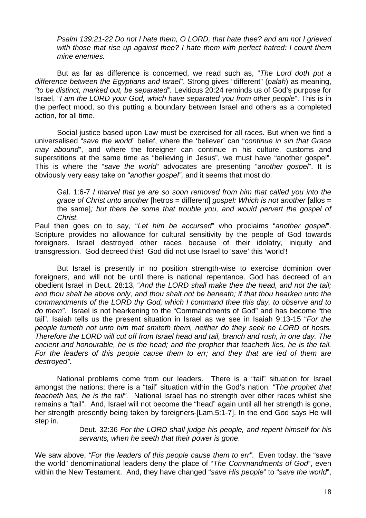*Psalm 139:21-22 Do not I hate them, O LORD, that hate thee? and am not I grieved with those that rise up against thee? I hate them with perfect hatred: I count them mine enemies.* 

But as far as difference is concerned, we read such as, "*The Lord doth put a difference between the Egyptians and Israel*". Strong gives "different" (*palah*) as meaning, *"to be distinct, marked out, be separated".* Leviticus 20:24 reminds us of God's purpose for Israel, "*I am the LORD your God, which have separated you from other people*". This is in the perfect mood, so this putting a boundary between Israel and others as a completed action, for all time.

Social justice based upon Law must be exercised for all races. But when we find a universalised "*save the world*" belief, where the 'believer' can "*continue in sin that Grace may abound*", and where the foreigner can continue in his culture, customs and superstitions at the same time as "believing in Jesus", we must have "another gospel". This is where the "*save the world*" advocates are presenting "*another gospel*". It is obviously very easy take on "*another gospel",* and it seems that most do.

Gal. 1:6-7 *I marvel that ye are so soon removed from him that called you into the grace of Christ unto another* [hetros = different] *gospel: Which is not another* [allos = the same]*; but there be some that trouble you, and would pervert the gospel of Christ.*

Paul then goes on to say, "*Let him be accursed*" who proclaims "*another gospel*". Scripture provides no allowance for cultural sensitivity by the people of God towards foreigners. Israel destroyed other races because of their idolatry, iniquity and transgression. God decreed this! God did not use Israel to 'save' this 'world'!

But Israel is presently in no position strength-wise to exercise dominion over foreigners, and will not be until there is national repentance. God has decreed of an obedient Israel in Deut. 28:13, "*And the LORD shall make thee the head, and not the tail; and thou shalt be above only, and thou shalt not be beneath; if that thou hearken unto the commandments of the LORD thy God, which I command thee this day, to observe and to do them".* Israel is not hearkening to the "Commandments of God" and has become "the tail". Isaiah tells us the present situation in Israel as we see in Isaiah 9:13-15 "*For the people turneth not unto him that smiteth them, neither do they seek he LORD of hosts. Therefore the LORD will cut off from Israel head and tail, branch and rush, in one day. The ancient and honourable, he is the head; and the prophet that teacheth lies, he is the tail. For the leaders of this people cause them to err; and they that are led of them are destroyed".* 

National problems come from our leaders. There is a "tail" situation for Israel amongst the nations; there is a "tail" situation within the God's nation. "T*he prophet that teacheth lies, he is the tail".* National Israel has no strength over other races whilst she remains a "tail". And, Israel will not become the "head" again until all her strength is gone, her strength presently being taken by foreigners-[Lam.5:1-7]. In the end God says He will step in.

> Deut. 32:36 *For the LORD shall judge his people, and repent himself for his servants, when he seeth that their power is gone*.

We saw above, *"For the leaders of this people cause them to err"*. Even today, the "save the world" denominational leaders deny the place of "*The Commandments of God*", even within the New Testament. And, they have changed "*save His people*" to "*save the world*",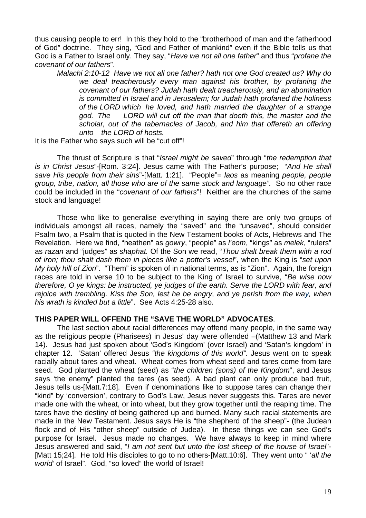thus causing people to err! In this they hold to the "brotherhood of man and the fatherhood of God" doctrine. They sing, "God and Father of mankind" even if the Bible tells us that God is a Father to Israel only. They say, "*Have we not all one father*" and thus "*profane the covenant of our fathers*".

*Malachi 2:10-12 Have we not all one father? hath not one God created us? Why do we deal treacherously every man against his brother, by profaning the covenant of our fathers? Judah hath dealt treacherously, and an abomination is committed in Israel and in Jerusalem; for Judah hath profaned the holiness of the LORD which he loved, and hath married the daughter of a strange god. The LORD will cut off the man that doeth this, the master and the scholar, out of the tabernacles of Jacob, and him that offereth an offering unto the LORD of hosts.*

It is the Father who says such will be "cut off"!

The thrust of Scripture is that "*Israel might be saved*" through "*the redemption that is in Christ Jesus*"-[Rom. 3:24]. Jesus came with The Father's purpose; "*And He shall save His people from their sins*"-[Matt. 1:21]. "People"= *laos* as meaning *people, people group, tribe, nation, all those who are of the same stock and language".* So no other race could be included in the "*covenant of our fathers*"! Neither are the churches of the same stock and language!

Those who like to generalise everything in saying there are only two groups of individuals amongst all races, namely the "saved" and the "unsaved", should consider Psalm two, a Psalm that is quoted in the New Testament books of Acts, Hebrews and The Revelation. Here we find, "heathen" as *gowry*, "people" as *l'eom*, "kings" as *melek*, "rulers" as *razan* and "judges" as *shaphat.* Of the Son we read, "*Thou shalt break them with a rod of iron; thou shalt dash them in pieces like a potter's vessel*", when the King is "*set upon My holy hill of Zion*". "Them" is spoken of in national terms, as is "Zion". Again, the foreign races are told in verse 10 to be subject to the King of Israel to survive, "*Be wise now therefore, O ye kings: be instructed, ye judges of the earth. Serve the LORD with fear, and rejoice with trembling. Kiss the Son, lest he be angry, and ye perish from the way, when his wrath is kindled but a little*". See Acts 4:25-28 also.

#### **THIS PAPER WILL OFFEND THE "SAVE THE WORLD" ADVOCATES**.

The last section about racial differences may offend many people, in the same way as the religious people (Pharisees) in Jesus' day were offended –(Matthew 13 and Mark 14). Jesus had just spoken about 'God's Kingdom' (over Israel) and 'Satan's kingdom' in chapter 12. 'Satan' offered Jesus *"the kingdoms of this world".* Jesus went on to speak racially about tares and wheat. Wheat comes from wheat seed and tares come from tare seed. God planted the wheat (seed) as "*the children (sons) of the Kingdom*", and Jesus says 'the enemy" planted the tares (as seed). A bad plant can only produce bad fruit, Jesus tells us-[Matt.7:18]. Even if denominations like to suppose tares can change their "kind" by 'conversion', contrary to God's Law, Jesus never suggests this. Tares are never made one with the wheat, or into wheat, but they grow together until the reaping time. The tares have the destiny of being gathered up and burned. Many such racial statements are made in the New Testament. Jesus says He is "the shepherd of the sheep"- (the Judean flock and of His "other sheep" outside of Judea). In these things we can see God's purpose for Israel. Jesus made no changes. We have always to keep in mind where Jesus answered and said, "*I am not sent but unto the lost sheep of the house of Israel*"- [Matt 15;24]. He told His disciples to go to no others-[Matt.10:6]. They went unto " '*all the world'* of Israel". God, "so loved" the world of Israel!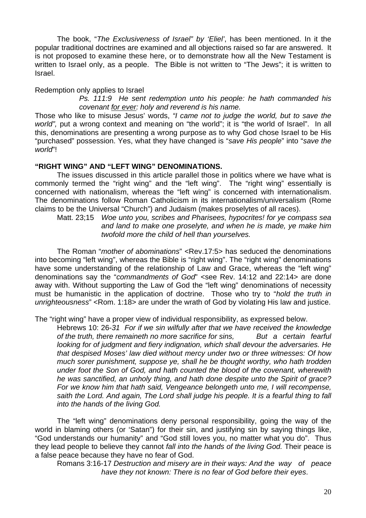The book, "*The Exclusiveness of Israel" by 'Eliel'*, has been mentioned. In it the popular traditional doctrines are examined and all objections raised so far are answered. It is not proposed to examine these here, or to demonstrate how all the New Testament is written to Israel only, as a people. The Bible is not written to "The Jews"; it is written to Israel.

Redemption only applies to Israel

 *Ps. 111:9 He sent redemption unto his people: he hath commanded his covenant for ever: holy and reverend is his name.* 

Those who like to misuse Jesus' words, *"I came not to judge the world, but to save the*  world", put a wrong context and meaning on "the world"; it is "the world of Israel". In all this, denominations are presenting a wrong purpose as to why God chose Israel to be His "purchased" possession. Yes, what they have changed is "*save His people*" into "*save the world*"!

#### **"RIGHT WING" AND "LEFT WING" DENOMINATIONS.**

The issues discussed in this article parallel those in politics where we have what is commonly termed the "right wing" and the "left wing". The "right wing" essentially is concerned with nationalism, whereas the "left wing" is concerned with internationalism. The denominations follow Roman Catholicism in its internationalism/universalism (Rome claims to be the Universal "Church") and Judaism (makes proselytes of all races).

Matt. 23;15 *Woe unto you, scribes and Pharisees, hypocrites! for ye compass sea and land to make one proselyte, and when he is made, ye make him twofold more the child of hell than yourselves.*

The Roman "*mother of abominations*" <Rev.17:5> has seduced the denominations into becoming "left wing", whereas the Bible is "right wing". The "right wing" denominations have some understanding of the relationship of Law and Grace, whereas the "left wing" denominations say the "*commandments of God*" <see Rev. 14:12 and 22:14> are done away with. Without supporting the Law of God the "left wing" denominations of necessity must be humanistic in the application of doctrine. Those who try to "*hold the truth in unrighteousness*" <Rom. 1:18> are under the wrath of God by violating His law and justice.

The "right wing" have a proper view of individual responsibility, as expressed below.

Hebrews 10: 26-*31 For if we sin wilfully after that we have received the knowledge of the truth, there remaineth no more sacrifice for sins, But a certain fearful looking for of judgment and fiery indignation, which shall devour the adversaries. He that despised Moses' law died without mercy under two or three witnesses: Of how much sorer punishment, suppose ye, shall he be thought worthy, who hath trodden under foot the Son of God, and hath counted the blood of the covenant, wherewith he was sanctified, an unholy thing, and hath done despite unto the Spirit of grace? For we know him that hath said, Vengeance belongeth unto me, I will recompense, saith the Lord. And again, The Lord shall judge his people. It is a fearful thing to fall into the hands of the living God.* 

The "left wing" denominations deny personal responsibility, going the way of the world in blaming others (or 'Satan") for their sin, and justifying sin by saying things like, "God understands our humanity" and "God still loves you, no matter what you do". Thus they lead people to believe they cannot *fall into the hands of the living God.* Their peace is a false peace because they have no fear of God.

Romans 3:16-17 *Destruction and misery are in their ways: And the way of peace have they not known: There is no fear of God before their eyes*.